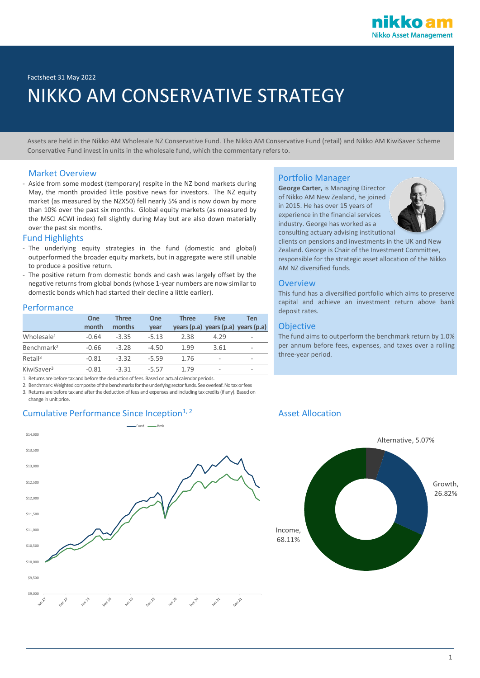Factsheet 31 May 2022

# NIKKO AM CONSERVATIVE STRATEGY

Assets are held in the Nikko AM Wholesale NZ Conservative Fund. The Nikko AM Conservative Fund (retail) and Nikko AM KiwiSaver Scheme Conservative Fund invest in units in the wholesale fund, which the commentary refers to.

### Market Overview

- Aside from some modest (temporary) respite in the NZ bond markets during May, the month provided little positive news for investors. The NZ equity market (as measured by the NZX50) fell nearly 5% and is now down by more than 10% over the past six months. Global equity markets (as measured by the MSCI ACWI index) fell slightly during May but are also down materially over the past six months.

### Fund Highlights

- The underlying equity strategies in the fund (domestic and global) outperformed the broader equity markets, but in aggregate were still unable to produce a positive return.
- The positive return from domestic bonds and cash was largely offset by the negative returns from global bonds (whose 1-year numbers are now similar to domestic bonds which had started their decline a little earlier).

### Performance

|                        | <b>One</b> | <b>Three</b> | One     | <b>Three</b> | <b>Five</b>                         | Ten |
|------------------------|------------|--------------|---------|--------------|-------------------------------------|-----|
|                        | month      | months       | vear    |              | years (p.a) years (p.a) years (p.a) |     |
| Wholesale <sup>1</sup> | $-0.64$    | $-3.35$      | $-5.13$ | 2.38         | 4.29                                | ۰   |
| Benchmark <sup>2</sup> | $-0.66$    | $-3.28$      | $-4.50$ | 1.99         | 3.61                                | ۰   |
| Retail <sup>3</sup>    | $-0.81$    | $-3.32$      | $-5.59$ | 1.76         | ۰                                   | ۰   |
| KiwiSaver <sup>3</sup> | $-0.81$    | $-3.31$      | $-5.57$ | 1.79         | -                                   | -   |

1. Returns are before tax and before the deduction of fees. Based on actual calendar periods.

2. Benchmark: Weighted composite of the benchmarks for the underlying sector funds. See overleaf. No tax or fees

3. Returns are before tax and after the deduction of fees and expenses and including tax credits (if any). Based on change in unit price.

### Cumulative Performance Since Inception<sup>1, 2</sup> Asset Allocation



### Portfolio Manager

**George Carter,** is Managing Director of Nikko AM New Zealand, he joined in 2015. He has over 15 years of experience in the financial services industry. George has worked as a consulting actuary advising institutional



clients on pensions and investments in the UK and New Zealand. George is Chair of the Investment Committee, responsible for the strategic asset allocation of the Nikko AM NZ diversified funds.

### **Overview**

This fund has a diversified portfolio which aims to preserve capital and achieve an investment return above bank deposit rates.

### **Objective**

The fund aims to outperform the benchmark return by 1.0% per annum before fees, expenses, and taxes over a rolling three-year period.